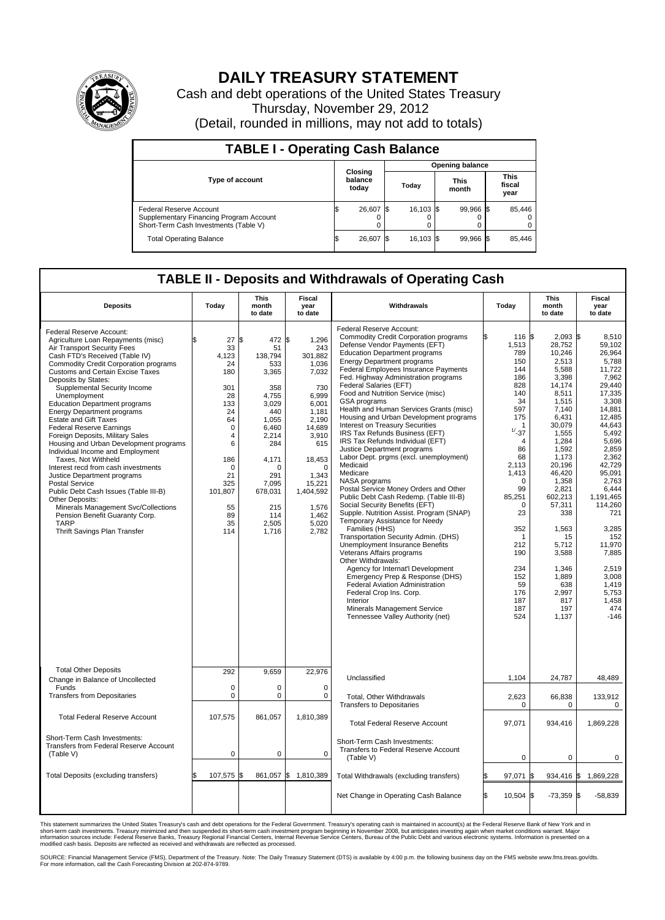

## **DAILY TREASURY STATEMENT**

Cash and debt operations of the United States Treasury Thursday, November 29, 2012 (Detail, rounded in millions, may not add to totals)

| <b>TABLE I - Operating Cash Balance</b>                                                                     |                             |  |                 |  |                      |  |                               |  |  |
|-------------------------------------------------------------------------------------------------------------|-----------------------------|--|-----------------|--|----------------------|--|-------------------------------|--|--|
|                                                                                                             |                             |  | Opening balance |  |                      |  |                               |  |  |
| <b>Type of account</b>                                                                                      | Closing<br>balance<br>today |  | Today           |  | <b>This</b><br>month |  | <b>This</b><br>fiscal<br>year |  |  |
| Federal Reserve Account<br>Supplementary Financing Program Account<br>Short-Term Cash Investments (Table V) | 26,607 \$<br>0              |  | 16,103 \$       |  | 99,966 \$            |  | 85,446<br>$\Omega$<br>0       |  |  |
| <b>Total Operating Balance</b>                                                                              | 26,607                      |  | 16,103 \$       |  | 99,966 \$            |  | 85,446                        |  |  |

## **TABLE II - Deposits and Withdrawals of Operating Cash**

| <b>Deposits</b>                                                                                                                                                                                                                                                                                                                                                                                                                                                                                                                                                                                                                                                                                                                                                                                                                                                        | Todav                                                                                                                                                       | This<br>month<br>to date                                                                                                                                                                      | Fiscal<br>vear<br>to date                                                                                                                                                                                       | Withdrawals                                                                                                                                                                                                                                                                                                                                                                                                                                                                                                                                                                                                                                                                                                                                                                                                                                                                                                                                                                                                                                                                                                                                                                                                                                                 | Today                                                                                                                                                                                                                                                               | This<br>month<br>to date                                                                                                                                                                                                                                                                                          | Fiscal<br>year<br>to date                                                                                                                                                                                                                                                                                                  |  |  |  |  |
|------------------------------------------------------------------------------------------------------------------------------------------------------------------------------------------------------------------------------------------------------------------------------------------------------------------------------------------------------------------------------------------------------------------------------------------------------------------------------------------------------------------------------------------------------------------------------------------------------------------------------------------------------------------------------------------------------------------------------------------------------------------------------------------------------------------------------------------------------------------------|-------------------------------------------------------------------------------------------------------------------------------------------------------------|-----------------------------------------------------------------------------------------------------------------------------------------------------------------------------------------------|-----------------------------------------------------------------------------------------------------------------------------------------------------------------------------------------------------------------|-------------------------------------------------------------------------------------------------------------------------------------------------------------------------------------------------------------------------------------------------------------------------------------------------------------------------------------------------------------------------------------------------------------------------------------------------------------------------------------------------------------------------------------------------------------------------------------------------------------------------------------------------------------------------------------------------------------------------------------------------------------------------------------------------------------------------------------------------------------------------------------------------------------------------------------------------------------------------------------------------------------------------------------------------------------------------------------------------------------------------------------------------------------------------------------------------------------------------------------------------------------|---------------------------------------------------------------------------------------------------------------------------------------------------------------------------------------------------------------------------------------------------------------------|-------------------------------------------------------------------------------------------------------------------------------------------------------------------------------------------------------------------------------------------------------------------------------------------------------------------|----------------------------------------------------------------------------------------------------------------------------------------------------------------------------------------------------------------------------------------------------------------------------------------------------------------------------|--|--|--|--|
| Federal Reserve Account:<br>Agriculture Loan Repayments (misc)<br>Air Transport Security Fees<br>Cash FTD's Received (Table IV)<br><b>Commodity Credit Corporation programs</b><br><b>Customs and Certain Excise Taxes</b><br>Deposits by States:<br>Supplemental Security Income<br>Unemployment<br><b>Education Department programs</b><br><b>Energy Department programs</b><br><b>Estate and Gift Taxes</b><br><b>Federal Reserve Earnings</b><br>Foreign Deposits, Military Sales<br>Housing and Urban Development programs<br>Individual Income and Employment<br>Taxes, Not Withheld<br>Interest recd from cash investments<br>Justice Department programs<br>Postal Service<br>Public Debt Cash Issues (Table III-B)<br>Other Deposits:<br>Minerals Management Svc/Collections<br>Pension Benefit Guaranty Corp.<br><b>TARP</b><br>Thrift Savings Plan Transfer | 27<br>\$.<br>33<br>4.123<br>24<br>180<br>301<br>28<br>133<br>24<br>64<br>0<br>4<br>6<br>186<br>$\mathbf 0$<br>21<br>325<br>101,807<br>55<br>89<br>35<br>114 | l\$<br>472<br>51<br>138.794<br>533<br>3,365<br>358<br>4,755<br>3,029<br>440<br>1.055<br>6,460<br>2,214<br>284<br>4,171<br>$\Omega$<br>291<br>7.095<br>678,031<br>215<br>114<br>2,505<br>1,716 | l\$<br>1,296<br>243<br>301,882<br>1,036<br>7,032<br>730<br>6.999<br>6.001<br>1,181<br>2.190<br>14,689<br>3,910<br>615<br>18,453<br>$\Omega$<br>1,343<br>15,221<br>1,404,592<br>1,576<br>1.462<br>5,020<br>2,782 | Federal Reserve Account:<br><b>Commodity Credit Corporation programs</b><br>Defense Vendor Payments (EFT)<br><b>Education Department programs</b><br><b>Energy Department programs</b><br>Federal Employees Insurance Payments<br>Fed. Highway Administration programs<br>Federal Salaries (EFT)<br>Food and Nutrition Service (misc)<br>GSA programs<br>Health and Human Services Grants (misc)<br>Housing and Urban Development programs<br><b>Interest on Treasury Securities</b><br>IRS Tax Refunds Business (EFT)<br>IRS Tax Refunds Individual (EFT)<br>Justice Department programs<br>Labor Dept. prgms (excl. unemployment)<br>Medicaid<br>Medicare<br>NASA programs<br>Postal Service Money Orders and Other<br>Public Debt Cash Redemp. (Table III-B)<br>Social Security Benefits (EFT)<br>Supple. Nutrition Assist. Program (SNAP)<br>Temporary Assistance for Needy<br>Families (HHS)<br>Transportation Security Admin. (DHS)<br><b>Unemployment Insurance Benefits</b><br>Veterans Affairs programs<br>Other Withdrawals:<br>Agency for Internat'l Development<br>Emergency Prep & Response (DHS)<br>Federal Aviation Administration<br>Federal Crop Ins. Corp.<br>Interior<br>Minerals Management Service<br>Tennessee Valley Authority (net) | 116 \$<br>1,513<br>789<br>150<br>144<br>186<br>828<br>140<br>34<br>597<br>175<br>1<br>$1/ - 37$<br>$\overline{4}$<br>86<br>68<br>2,113<br>1,413<br>$\mathbf 0$<br>99<br>85,251<br>0<br>23<br>352<br>1<br>212<br>190<br>234<br>152<br>59<br>176<br>187<br>187<br>524 | $2.093$ \$<br>28,752<br>10,246<br>2,513<br>5,588<br>3,398<br>14,174<br>8,511<br>1,515<br>7,140<br>6,431<br>30,079<br>1,555<br>1,284<br>1,592<br>1,173<br>20.196<br>46,420<br>1,358<br>2,821<br>602,213<br>57,311<br>338<br>1,563<br>15<br>5,712<br>3,588<br>1,346<br>1.889<br>638<br>2,997<br>817<br>197<br>1,137 | 8.510<br>59,102<br>26,964<br>5,788<br>11.722<br>7,962<br>29,440<br>17.335<br>3,308<br>14,881<br>12,485<br>44.643<br>5,492<br>5,696<br>2,859<br>2,362<br>42.729<br>95,091<br>2.763<br>6,444<br>1,191,465<br>114,260<br>721<br>3,285<br>152<br>11,970<br>7,885<br>2,519<br>3.008<br>1,419<br>5,753<br>1,458<br>474<br>$-146$ |  |  |  |  |
| <b>Total Other Deposits</b><br>Change in Balance of Uncollected                                                                                                                                                                                                                                                                                                                                                                                                                                                                                                                                                                                                                                                                                                                                                                                                        | 292                                                                                                                                                         | 9,659                                                                                                                                                                                         | 22,976                                                                                                                                                                                                          | Unclassified                                                                                                                                                                                                                                                                                                                                                                                                                                                                                                                                                                                                                                                                                                                                                                                                                                                                                                                                                                                                                                                                                                                                                                                                                                                | 1,104                                                                                                                                                                                                                                                               | 24,787                                                                                                                                                                                                                                                                                                            | 48,489                                                                                                                                                                                                                                                                                                                     |  |  |  |  |
| Funds<br><b>Transfers from Depositaries</b>                                                                                                                                                                                                                                                                                                                                                                                                                                                                                                                                                                                                                                                                                                                                                                                                                            | $\mathbf 0$<br>0                                                                                                                                            | $\mathbf 0$<br>$\pmb{0}$                                                                                                                                                                      | $\mathbf 0$<br>$\mathbf 0$                                                                                                                                                                                      | Total, Other Withdrawals<br><b>Transfers to Depositaries</b>                                                                                                                                                                                                                                                                                                                                                                                                                                                                                                                                                                                                                                                                                                                                                                                                                                                                                                                                                                                                                                                                                                                                                                                                | 2,623<br>$\mathbf 0$                                                                                                                                                                                                                                                | 66,838<br>$\mathbf 0$                                                                                                                                                                                                                                                                                             | 133,912<br>0                                                                                                                                                                                                                                                                                                               |  |  |  |  |
| <b>Total Federal Reserve Account</b>                                                                                                                                                                                                                                                                                                                                                                                                                                                                                                                                                                                                                                                                                                                                                                                                                                   | 107,575                                                                                                                                                     | 861,057                                                                                                                                                                                       | 1.810.389                                                                                                                                                                                                       | <b>Total Federal Reserve Account</b>                                                                                                                                                                                                                                                                                                                                                                                                                                                                                                                                                                                                                                                                                                                                                                                                                                                                                                                                                                                                                                                                                                                                                                                                                        | 97,071                                                                                                                                                                                                                                                              | 934,416                                                                                                                                                                                                                                                                                                           | 1,869,228                                                                                                                                                                                                                                                                                                                  |  |  |  |  |
| Short-Term Cash Investments:<br>Transfers from Federal Reserve Account<br>(Table V)                                                                                                                                                                                                                                                                                                                                                                                                                                                                                                                                                                                                                                                                                                                                                                                    | $\mathbf 0$                                                                                                                                                 | $\mathbf 0$                                                                                                                                                                                   | $\mathbf 0$                                                                                                                                                                                                     | Short-Term Cash Investments:<br>Transfers to Federal Reserve Account<br>(Table V)                                                                                                                                                                                                                                                                                                                                                                                                                                                                                                                                                                                                                                                                                                                                                                                                                                                                                                                                                                                                                                                                                                                                                                           | $\mathbf 0$                                                                                                                                                                                                                                                         | 0                                                                                                                                                                                                                                                                                                                 | 0                                                                                                                                                                                                                                                                                                                          |  |  |  |  |
| Total Deposits (excluding transfers)                                                                                                                                                                                                                                                                                                                                                                                                                                                                                                                                                                                                                                                                                                                                                                                                                                   | 107,575 \$                                                                                                                                                  | 861,057                                                                                                                                                                                       | \$<br>1,810,389                                                                                                                                                                                                 | Total Withdrawals (excluding transfers)                                                                                                                                                                                                                                                                                                                                                                                                                                                                                                                                                                                                                                                                                                                                                                                                                                                                                                                                                                                                                                                                                                                                                                                                                     | 97,071 \$                                                                                                                                                                                                                                                           | $934,416$ \$                                                                                                                                                                                                                                                                                                      | 1,869,228                                                                                                                                                                                                                                                                                                                  |  |  |  |  |
|                                                                                                                                                                                                                                                                                                                                                                                                                                                                                                                                                                                                                                                                                                                                                                                                                                                                        |                                                                                                                                                             |                                                                                                                                                                                               |                                                                                                                                                                                                                 | Net Change in Operating Cash Balance                                                                                                                                                                                                                                                                                                                                                                                                                                                                                                                                                                                                                                                                                                                                                                                                                                                                                                                                                                                                                                                                                                                                                                                                                        | l\$<br>10,504 \$                                                                                                                                                                                                                                                    | $-73,359$ \$                                                                                                                                                                                                                                                                                                      | $-58,839$                                                                                                                                                                                                                                                                                                                  |  |  |  |  |

This statement summarizes the United States Treasury's cash and debt operations for the Federal Government. Treasury's operating cash is maintained in account(s) at the Federal Reserve Bank of New York and in<br>short-term ca

SOURCE: Financial Management Service (FMS), Department of the Treasury. Note: The Daily Treasury Statement (DTS) is available by 4:00 p.m. the following business day on the FMS website www.fms.treas.gov/dts.<br>For more infor